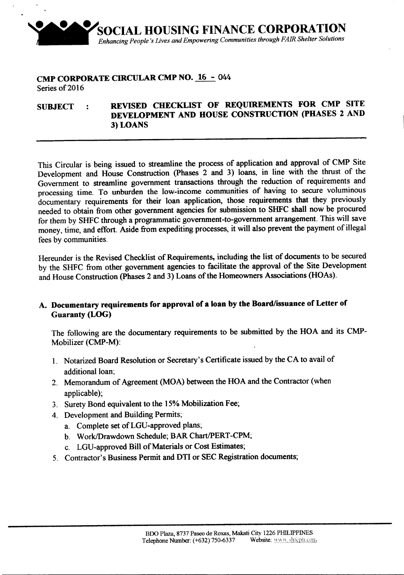

### CMP CORPORATE CIRCULAR CMP NO. 16 - 044 Series of 2016

# SUBJECT : REVISED CHECKLIST OF REQUIREMENTS FOR CMP SITE DEVELOPMENT AND HOUSE CONSTRUCTION (pHASES 2 AND 3) LOANS

This Circular is being issued to streamline the process of application and approval of CMP Site Development and House Construction (Phases 2 and 3) loans, in line with the thrust of the Government to streamline government transactions through the reduction of requirements and processing time. To unburden the low-income communities of having to secure voluminous documentary requirements for their loan application, those requirements that they previously needed to obtain from other government agencies for submission to SHFC shall now be procured for them by SHFC through a programmatic government-to-government arrangement. This will save money, time, and effort. Aside from expediting processes, it will also prevent the payment of illegal fees by communities.

Hereunder is the Revised Checklist of Requirements, including the list of documents to be secured by the SHFC from other government agencies to facilitate the approval of the Site Development and House Construction (phases 2 and 3) Loans of the Homeowners Associations (HOAs).

## A. Documentary requirements for approval of a loan by the Board/issuance of Letter of Guaranty (LOG)

The following are the documentary requirements to be submitted by the HOA and its CMP-Mobilizer (CMP-M):

- 1. Notarized Board Resolution or Secretary's Certificate issued by the CA to avail of additional loan:
- 2. Memorandum of Agreement (MOA) between the HOA and the Contractor (when applicable);
- 3. Surety Bond equivalent to the 15% Mobilization Fee;
- 4. Development and Building Permits;
	- a. Complete set ofLGU-approved plans;
	- b. Work/Drawdown Schedule; BAR Chart/PERT-CPM;
	- c. LGU-approved Bill of Materials or Cost Estimates;
- 5. Contractor's Business Permit and DTI or SEC Registration documents;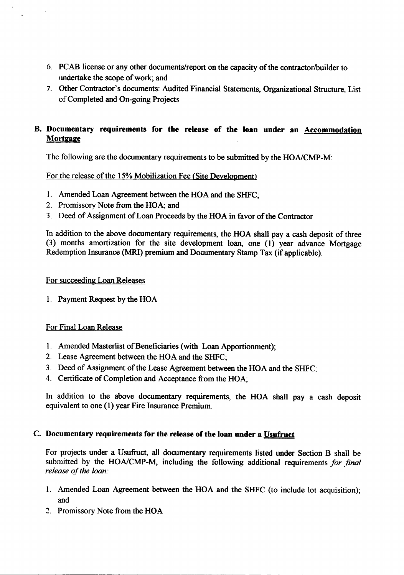- 6. PCAB license or any other documents/report on the capacity of the contractor/builder to undertake the scope of work; and
- 7. Other Contractor's documents: Audited Financial Statements, Organizational Structure, List of Completed and On-going Projects

# B. Documentary requirements for the release of the loan under an Accommodation **Mortgage**

The following are the documentary requirements to be submitted by the *HONCMP-M:*

For the release of the 15% Mobilization Fee (Site Development)

- 1. Amended Loan Agreement between the HOA and the SHFC;
- 2. Promissorv Note from the HOA; and
- 3. Deed of Assignment of Loan Proceeds by the HOA in favor of the Contractor

In addition to the above documentary requirements, the HOA shall pay a cash deposit of three (3) months amortization for the site development loan, one (1) year advance Mortgage Redemption Insurance (MRI) premium and Documentary Stamp Tax (if applicable).

#### For succeeding Loan Releases

1. Payment Request by the HOA

## For Final Loan Release

- 1. Amended Masterlist of Beneficiaries (with Loan Apportionment);
- 2. Lease Agreement between the HOA and the SHFC;

---------------------------------------------------- -- - -

- 3. Deed of Assignment of the Lease Agreement between the HOA and the SHFC;
- 4. Certificate of Completion and Acceptance from the HOA;

In addition to the above documentary requirements, the HOA shall pay a cash deposit equivalent to one (1) year Fire Insurance Premium.

#### c. Documentary requirements for the release of the loan under <sup>a</sup> Usufruct

For projects under a Usufruct, all documentary requirements listed under Section B shall be submitted by the *HONCMP-M,* including the following additional requirements *for final release of the loan:*

- 1. Amended Loan Agreement between the HOA and the SHFC (to include lot acquisition); and
- 1. Promissory Note from the HOA